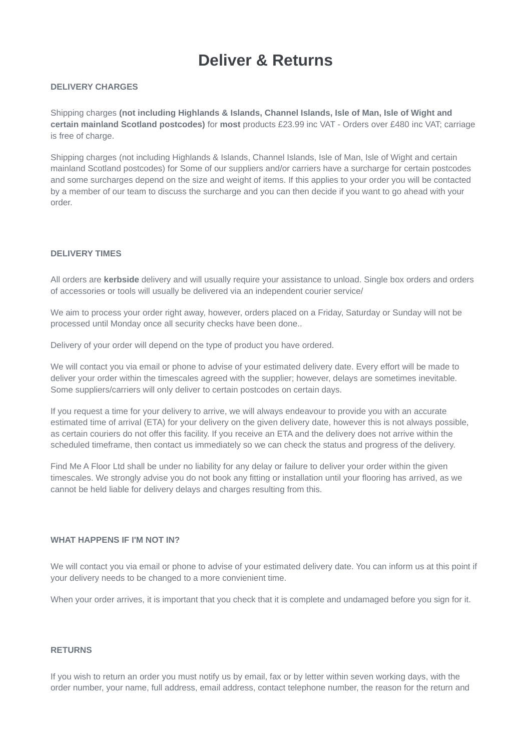# **Deliver & Returns**

# **DELIVERY CHARGES**

Shipping charges **(not including Highlands & Islands, Channel Islands, Isle of Man, Isle of Wight and certain mainland Scotland postcodes)** for **most** products £23.99 inc VAT - Orders over £480 inc VAT; carriage is free of charge.

Shipping charges (not including Highlands & Islands, Channel Islands, Isle of Man, Isle of Wight and certain mainland Scotland postcodes) for Some of our suppliers and/or carriers have a surcharge for certain postcodes and some surcharges depend on the size and weight of items. If this applies to your order you will be contacted by a member of our team to discuss the surcharge and you can then decide if you want to go ahead with your order.

# **DELIVERY TIMES**

All orders are **kerbside** delivery and will usually require your assistance to unload. Single box orders and orders of accessories or tools will usually be delivered via an independent courier service/

We aim to process your order right away, however, orders placed on a Friday, Saturday or Sunday will not be processed until Monday once all security checks have been done..

Delivery of your order will depend on the type of product you have ordered.

We will contact you via email or phone to advise of your estimated delivery date. Every effort will be made to deliver your order within the timescales agreed with the supplier; however, delays are sometimes inevitable. Some suppliers/carriers will only deliver to certain postcodes on certain days.

If you request a time for your delivery to arrive, we will always endeavour to provide you with an accurate estimated time of arrival (ETA) for your delivery on the given delivery date, however this is not always possible, as certain couriers do not offer this facility. If you receive an ETA and the delivery does not arrive within the scheduled timeframe, then contact us immediately so we can check the status and progress of the delivery.

Find Me A Floor Ltd shall be under no liability for any delay or failure to deliver your order within the given timescales. We strongly advise you do not book any fitting or installation until your flooring has arrived, as we cannot be held liable for delivery delays and charges resulting from this.

### **WHAT HAPPENS IF I'M NOT IN?**

We will contact you via email or phone to advise of your estimated delivery date. You can inform us at this point if your delivery needs to be changed to a more convienient time.

When your order arrives, it is important that you check that it is complete and undamaged before you sign for it.

#### **RETURNS**

If you wish to return an order you must notify us by email, fax or by letter within seven working days, with the order number, your name, full address, email address, contact telephone number, the reason for the return and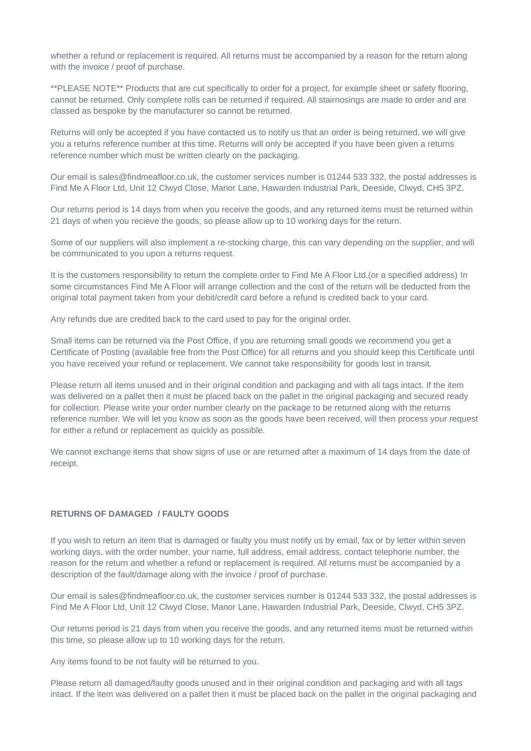whether a refund or replacement is required. All returns must be accompanied by a reason for the return along with the invoice / proof of purchase.

\*\*PLEASE NOTE\*\* Products that are cut specifically to order for a project, for example sheet or safety flooring, cannot be returned. Only complete rolls can be returned if required. All stairnosings are made to order and are classed as bespoke by the manufacturer so cannot be returned.

Returns will only be accepted if you have contacted us to notify us that an order is being returned, we will give you a returns reference number at this time. Returns will only be accepted if you have been given a returns reference number which must be written clearly on the packaging.

Our email is sales@findmeafloor.co.uk, the customer services number is 01244 533 332, the postal addresses is Find Me A Floor Ltd, Unit 12 Clwyd Close, Manor Lane, Hawarden Industrial Park, Deeside, Clwyd, CH5 3PZ.

Our returns period is 14 days from when you receive the goods, and any returned items must be returned within 21 days of when you recieve the goods, so please allow up to 10 working days for the return.

Some of our suppliers will also implement a re-stocking charge, this can vary depending on the supplier, and will be communicated to you upon a returns request.

It is the customers responsibility to return the complete order to Find Me A Floor Ltd.(or a specified address) In some circumstances Find Me A Floor will arrange collection and the cost of the return will be deducted from the original total payment taken from your debit/credit card before a refund is credited back to your card.

Any refunds due are credited back to the card used to pay for the original order.

Small items can be returned via the Post Office, if you are returning small goods we recommend you get a Certificate of Posting (available free from the Post Office) for all returns and you should keep this Certificate until you have received your refund or replacement. We cannot take responsibility for goods lost in transit.

Please return all items unused and in their original condition and packaging and with all tags intact. If the item was delivered on a pallet then it must be placed back on the pallet in the original packaging and secured ready for collection. Please write your order number clearly on the package to be returned along with the returns reference number. We will let you know as soon as the goods have been received, will then process your request for either a refund or replacement as quickly as possible.

We cannot exchange items that show signs of use or are returned after a maximum of 14 days from the date of receipt.

# **RETURNS OF DAMAGED / FAULTY GOODS**

If you wish to return an item that is damaged or faulty you must notify us by email, fax or by letter within seven working days, with the order number, your name, full address, email address, contact telephone number, the reason for the return and whether a refund or replacement is required. All returns must be accompanied by a description of the fault/damage along with the invoice / proof of purchase.

Our email is sales@findmeafloor.co.uk, the customer services number is 01244 533 332, the postal addresses is Find Me A Floor Ltd, Unit 12 Clwyd Close, Manor Lane, Hawarden Industrial Park, Deeside, Clwyd, CH5 3PZ.

Our returns period is 21 days from when you receive the goods, and any returned items must be returned within this time, so please allow up to 10 working days for the return.

Any items found to be not faulty will be returned to you.

Please return all damaged/faulty goods unused and in their original condition and packaging and with all tags intact. If the item was delivered on a pallet then it must be placed back on the pallet in the original packaging and